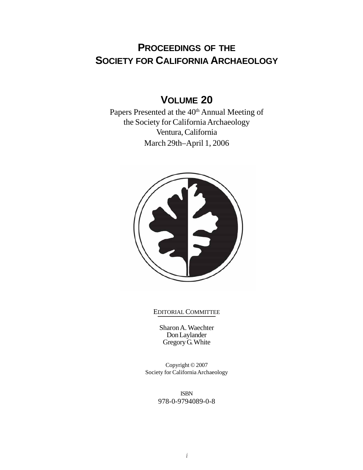# **PROCEEDINGS OF THE SOCIETY FOR CALIFORNIA ARCHAEOLOGY**

# **VOLUME 20**

Papers Presented at the 40<sup>th</sup> Annual Meeting of the Society for California Archaeology Ventura, California March 29th–April 1, 2006



EDITORIAL COMMITTEE

Sharon A. Waechter Don Laylander Gregory G. White

Copyright © 2007 Society for California Archaeology

> ISBN 978-0-9794089-0-8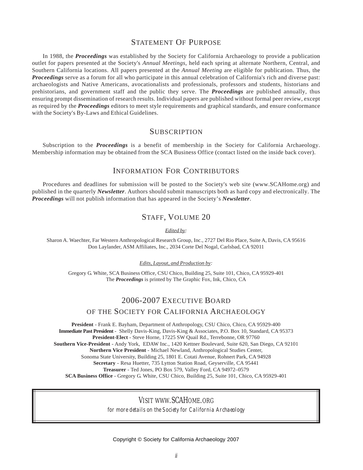#### STATEMENT OF PURPOSE

In 1988, the *Proceedings* was established by the Society for California Archaeology to provide a publication outlet for papers presented at the Society's *Annual Meetings*, held each spring at alternate Northern, Central, and Southern California locations. All papers presented at the *Annual Meeting* are eligible for publication. Thus, the *Proceedings* serve as a forum for all who participate in this annual celebration of California's rich and diverse past: archaeologists and Native Americans, avocationalists and professionals, professors and students, historians and prehistorians, and government staff and the public they serve. The *Proceedings* are published annually, thus ensuring prompt dissemination of research results. Individual papers are published without formal peer review, except as required by the *Proceedings* editors to meet style requirements and graphical standards, and ensure conformance with the Society's By-Laws and Ethical Guidelines.

#### **SUBSCRIPTION**

Subscription to the *Proceedings* is a benefit of membership in the Society for California Archaeology. Membership information may be obtained from the SCA Business Office (contact listed on the inside back cover).

## INFORMATION FOR CONTRIBUTORS

Procedures and deadlines for submission will be posted to the Society's web site (www.SCAHome.org) and published in the quarterly *Newsletter*. Authors should submit manuscripts both as hard copy and electronically. The *Proceedings* will not publish information that has appeared in the Society's *Newsletter*.

### STAFF, VOLUME 20

*Edited by:*

Sharon A. Waechter, Far Western Anthropological Research Group, Inc., 2727 Del Rio Place, Suite A, Davis, CA 95616 Don Laylander, ASM Affiliates, Inc., 2034 Corte Del Nogal, Carlsbad, CA 92011

*Edits, Layout, and Production by:*

Gregory G. White, SCA Business Office, CSU Chico, Building 25, Suite 101, Chico, CA 95929-401 The *Proceedings* is printed by The Graphic Fox, Ink, Chico, CA

### 2006-2007 EXECUTIVE BOARD

#### OF THE SOCIETY FOR CALIFORNIA ARCHAEOLOGY

**President** - Frank E. Bayham, Department of Anthropology, CSU Chico, Chico, CA 95929-400 **Immediate Past President** - Shelly Davis-King, Davis-King & Associates, P.O. Box 10, Standard, CA 95373 **President-Elect** - Steve Horne, 17225 SW Quail Rd., Terrebonne, OR 97760 **Southern Vice-President** - Andy York, EDAW Inc., 1420 Kettner Boulevard, Suite 620, San Diego, CA 92101 **Northern Vice President** - Michael Newland, Anthropological Studies Center, Sonoma State University, Building 25, 1801 E. Cotati Avenue, Rohnert Park, CA 94928 **Secretary** - Resa Huetter, 735 Lytton Station Road, Geyserville, CA 95441 **Treasurer** - Ted Jones, PO Box 579, Valley Ford, CA 94972–0579 **SCA Business Office** - Gregory G. White, CSU Chico, Building 25, Suite 101, Chico, CA 95929-401

#### VISIT WWW.SCAHOME.ORG

*for more details on the Society for California Archaeology*

Copyright © Society for California Archaeology 2007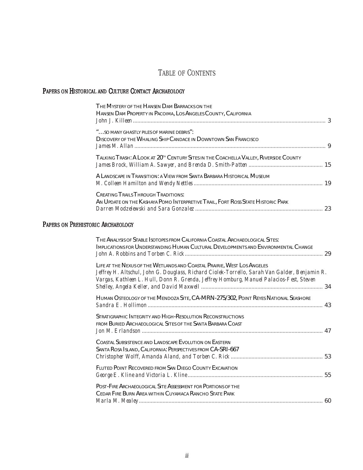# TABLE OF CONTENTS

# PAPERS ON HISTORICAL AND CULTURE CONTACT ARCHAEOLOGY

| THE MYSTERY OF THE HANSEN DAM BARRACKS ON THE<br>HANSEN DAM PROPERTY IN PACOIMA, LOS ANGELES COUNTY, CALIFORNIA        |  |
|------------------------------------------------------------------------------------------------------------------------|--|
| "SO MANY GHASTLY PILES OF MARINE DEBRIS":<br>DISCOVERY OF THE WHALING SHIP CANDACE IN DOWNTOWN SAN FRANCISCO           |  |
| TALKING TRASH: A LOOK AT 20 <sup>TH</sup> CENTURY SITES IN THE COACHELLA VALLEY, RIVERSIDE COUNTY                      |  |
| A LANDSCAPE IN TRANSITION: A VIEW FROM SANTA BARBARA HISTORICAL MUSEUM                                                 |  |
| CREATING TRAILS THROUGH TRADITIONS:<br>AN UPDATE ON THE KASHAYA POMO INTERPRETIVE TRAIL, FORT ROSS STATE HISTORIC PARK |  |

# PAPERS ON PREHISTORIC ARCHAEOLOGY